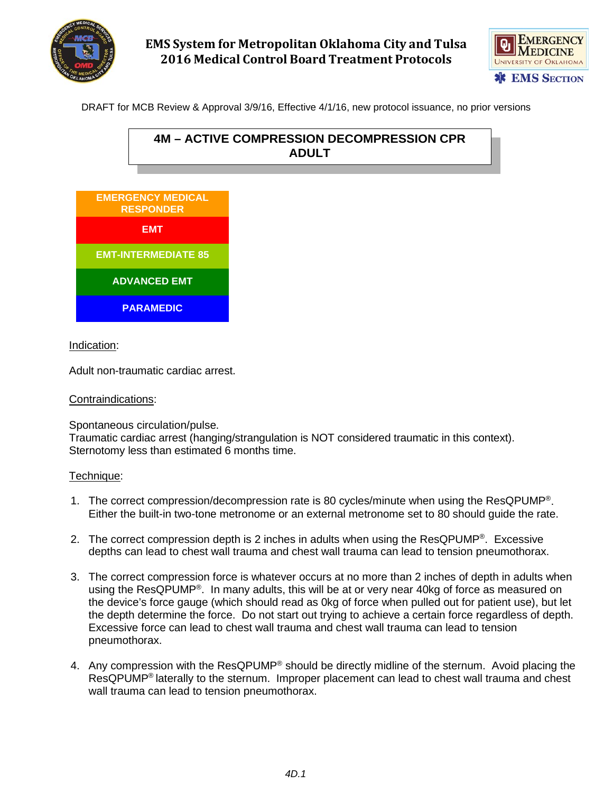

## **EMS System for Metropolitan Oklahoma City and Tulsa 2016 Medical Control Board Treatment Protocols**



DRAFT for MCB Review & Approval 3/9/16, Effective 4/1/16, new protocol issuance, no prior versions





**G** C C C C C C C C C C C C

Indication:

Adult non-traumatic cardiac arrest.

## Contraindications:

Spontaneous circulation/pulse.

Traumatic cardiac arrest (hanging/strangulation is NOT considered traumatic in this context). Sternotomy less than estimated 6 months time.

## Technique:

- 1. The correct compression/decompression rate is 80 cycles/minute when using the ResQPUMP®. Either the built-in two-tone metronome or an external metronome set to 80 should guide the rate.
- 2. The correct compression depth is 2 inches in adults when using the ResQPUMP®. Excessive depths can lead to chest wall trauma and chest wall trauma can lead to tension pneumothorax.
- 3. The correct compression force is whatever occurs at no more than 2 inches of depth in adults when using the ResQPUMP<sup>®</sup>. In many adults, this will be at or very near 40kg of force as measured on the device's force gauge (which should read as 0kg of force when pulled out for patient use), but let the depth determine the force. Do not start out trying to achieve a certain force regardless of depth. Excessive force can lead to chest wall trauma and chest wall trauma can lead to tension pneumothorax.
- 4. Any compression with the ResQPUMP® should be directly midline of the sternum. Avoid placing the ResQPUMP® laterally to the sternum. Improper placement can lead to chest wall trauma and chest wall trauma can lead to tension pneumothorax.